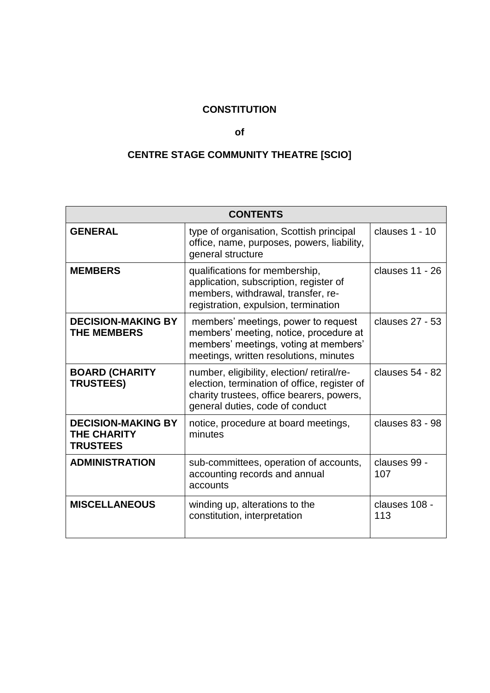# **CONSTITUTION**

### **of**

# **CENTRE STAGE COMMUNITY THEATRE [SCIO]**

| <b>CONTENTS</b>                                                    |                                                                                                                                                                           |                      |
|--------------------------------------------------------------------|---------------------------------------------------------------------------------------------------------------------------------------------------------------------------|----------------------|
| <b>GENERAL</b>                                                     | type of organisation, Scottish principal<br>office, name, purposes, powers, liability,<br>general structure                                                               | clauses 1 - 10       |
| <b>MEMBERS</b>                                                     | qualifications for membership,<br>application, subscription, register of<br>members, withdrawal, transfer, re-<br>registration, expulsion, termination                    | clauses 11 - 26      |
| <b>DECISION-MAKING BY</b><br><b>THE MEMBERS</b>                    | members' meetings, power to request<br>members' meeting, notice, procedure at<br>members' meetings, voting at members'<br>meetings, written resolutions, minutes          | clauses 27 - 53      |
| <b>BOARD (CHARITY</b><br><b>TRUSTEES)</b>                          | number, eligibility, election/retiral/re-<br>election, termination of office, register of<br>charity trustees, office bearers, powers,<br>general duties, code of conduct | clauses 54 - 82      |
| <b>DECISION-MAKING BY</b><br><b>THE CHARITY</b><br><b>TRUSTEES</b> | notice, procedure at board meetings,<br>minutes                                                                                                                           | clauses 83 - 98      |
| <b>ADMINISTRATION</b>                                              | sub-committees, operation of accounts,<br>accounting records and annual<br>accounts                                                                                       | clauses 99 -<br>107  |
| <b>MISCELLANEOUS</b>                                               | winding up, alterations to the<br>constitution, interpretation                                                                                                            | clauses 108 -<br>113 |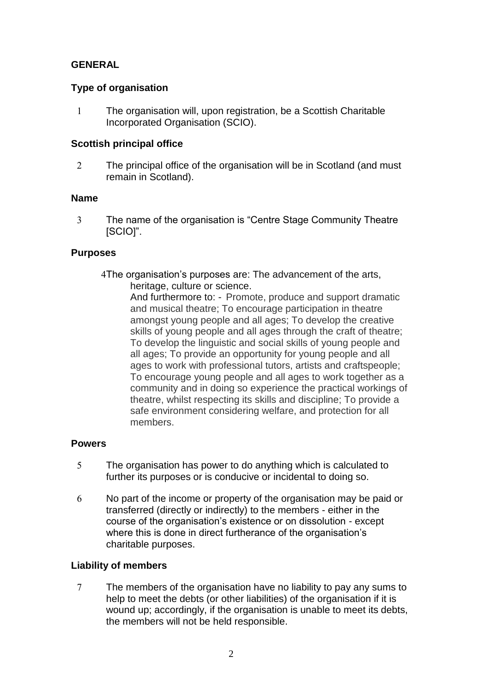# **GENERAL**

# **Type of organisation**

<span id="page-1-0"></span> The organisation will, upon registration, be a Scottish Charitable Incorporated Organisation (SCIO).

# **Scottish principal office**

2 The principal office of the organisation will be in Scotland (and must remain in Scotland).

### **Name**

 The name of the organisation is "Centre Stage Community Theatre [SCIO]".

# **Purposes**

The organisation's purposes are: The advancement of the arts, heritage, culture or science.

And furthermore to: - Promote, produce and support dramatic and musical theatre; To encourage participation in theatre amongst young people and all ages; To develop the creative skills of young people and all ages through the craft of theatre; To develop the linguistic and social skills of young people and all ages; To provide an opportunity for young people and all ages to work with professional tutors, artists and craftspeople; To encourage young people and all ages to work together as a community and in doing so experience the practical workings of theatre, whilst respecting its skills and discipline; To provide a safe environment considering welfare, and protection for all members.

### **Powers**

- The organisation has power to do anything which is calculated to further its purposes or is conducive or incidental to doing so.
- No part of the income or property of the organisation may be paid or transferred (directly or indirectly) to the members - either in the course of the organisation's existence or on dissolution - except where this is done in direct furtherance of the organisation's charitable purposes.

# **Liability of members**

The members of the organisation have no liability to pay any sums to help to meet the debts (or other liabilities) of the organisation if it is wound up; accordingly, if the organisation is unable to meet its debts, the members will not be held responsible.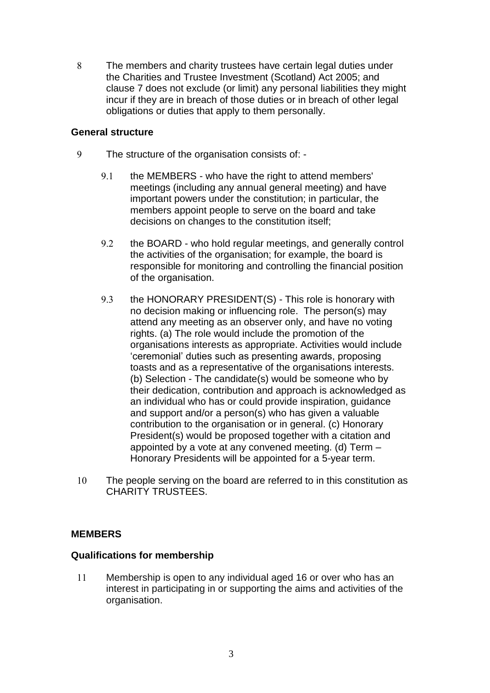The members and charity trustees have certain legal duties under the Charities and Trustee Investment (Scotland) Act 2005; and clause 7 does not exclude (or limit) any personal liabilities they might incur if they are in breach of those duties or in breach of other legal obligations or duties that apply to them personally.

### **General structure**

- The structure of the organisation consists of:
	- 9.1 the MEMBERS who have the right to attend members' meetings (including any annual general meeting) and have important powers under the constitution; in particular, the members appoint people to serve on the board and take decisions on changes to the constitution itself;
	- 9.2 the BOARD who hold regular meetings, and generally control the activities of the organisation; for example, the board is responsible for monitoring and controlling the financial position of the organisation.
	- 9.3 the HONORARY PRESIDENT(S) This role is honorary with no decision making or influencing role. The person(s) may attend any meeting as an observer only, and have no voting rights. (a) The role would include the promotion of the organisations interests as appropriate. Activities would include 'ceremonial' duties such as presenting awards, proposing toasts and as a representative of the organisations interests. (b) Selection - The candidate(s) would be someone who by their dedication, contribution and approach is acknowledged as an individual who has or could provide inspiration, guidance and support and/or a person(s) who has given a valuable contribution to the organisation or in general. (c) Honorary President(s) would be proposed together with a citation and appointed by a vote at any convened meeting. (d) Term – Honorary Presidents will be appointed for a 5-year term.
- <span id="page-2-0"></span> The people serving on the board are referred to in this constitution as CHARITY TRUSTEES.

# **MEMBERS**

### **Qualifications for membership**

<span id="page-2-1"></span>11 Membership is open to any individual aged 16 or over who has an interest in participating in or supporting the aims and activities of the organisation.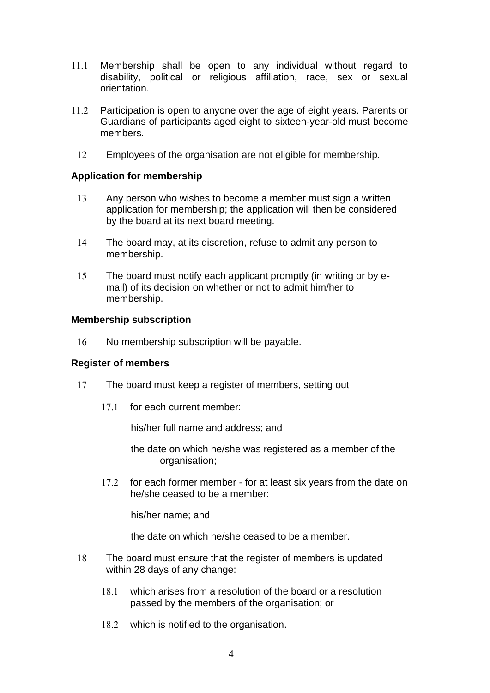- 11.1 Membership shall be open to any individual without regard to disability, political or religious affiliation, race, sex or sexual orientation.
- 11.2 Participation is open to anyone over the age of eight years. Parents or Guardians of participants aged eight to sixteen-year-old must become members.
- Employees of the organisation are not eligible for membership.

### **Application for membership**

- 13 Any person who wishes to become a member must sign a written application for membership; the application will then be considered by the board at its next board meeting.
- The board may, at its discretion, refuse to admit any person to membership.
- The board must notify each applicant promptly (in writing or by email) of its decision on whether or not to admit him/her to membership.

### **Membership subscription**

16 No membership subscription will be payable.

### **Register of members**

- 17 The board must keep a register of members, setting out
	- 17.1 for each current member:

his/her full name and address; and

- the date on which he/she was registered as a member of the organisation;
- 17.2 for each former member for at least six years from the date on he/she ceased to be a member:

his/her name; and

the date on which he/she ceased to be a member.

- The board must ensure that the register of members is updated within 28 days of any change:
	- which arises from a resolution of the board or a resolution passed by the members of the organisation; or
	- 18.2 which is notified to the organisation.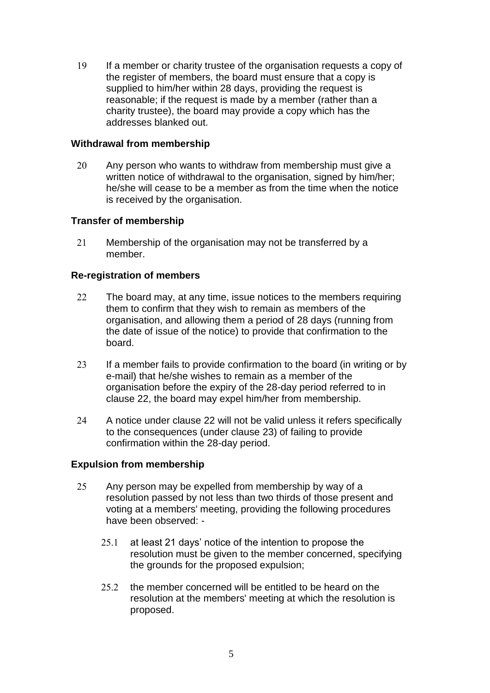If a member or charity trustee of the organisation requests a copy of the register of members, the board must ensure that a copy is supplied to him/her within 28 days, providing the request is reasonable; if the request is made by a member (rather than a charity trustee), the board may provide a copy which has the addresses blanked out.

### **Withdrawal from membership**

20 Any person who wants to withdraw from membership must give a written notice of withdrawal to the organisation, signed by him/her; he/she will cease to be a member as from the time when the notice is received by the organisation.

### **Transfer of membership**

21 Membership of the organisation may not be transferred by a member.

# **Re-registration of members**

- <span id="page-4-0"></span>22 The board may, at any time, issue notices to the members requiring them to confirm that they wish to remain as members of the organisation, and allowing them a period of 28 days (running from the date of issue of the notice) to provide that confirmation to the board.
- <span id="page-4-1"></span>23 If a member fails to provide confirmation to the board (in writing or by e-mail) that he/she wishes to remain as a member of the organisation before the expiry of the 28-day period referred to in clause [22,](#page-4-0) the board may expel him/her from membership.
- 24 A notice under clause [22](#page-4-0) will not be valid unless it refers specifically to the consequences (under clause [23\)](#page-4-1) of failing to provide confirmation within the 28-day period.

### **Expulsion from membership**

- <span id="page-4-2"></span>25 Any person may be expelled from membership by way of a resolution passed by not less than two thirds of those present and voting at a members' meeting, providing the following procedures have been observed: -
	- $25.1$  at least 21 days' notice of the intention to propose the resolution must be given to the member concerned, specifying the grounds for the proposed expulsion;
	- $25.2$  the member concerned will be entitled to be heard on the resolution at the members' meeting at which the resolution is proposed.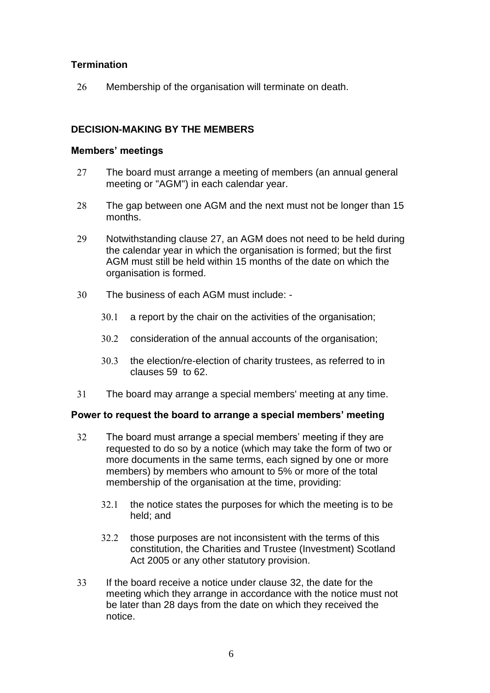# **Termination**

<span id="page-5-0"></span>26 Membership of the organisation will terminate on death.

# **DECISION-MAKING BY THE MEMBERS**

### **Members' meetings**

- <span id="page-5-1"></span>27 The board must arrange a meeting of members (an annual general meeting or "AGM") in each calendar year.
- 28 The gap between one AGM and the next must not be longer than 15 months.
- Notwithstanding clause [27,](#page-5-1) an AGM does not need to be held during the calendar year in which the organisation is formed; but the first AGM must still be held within 15 months of the date on which the organisation is formed.
- The business of each AGM must include:
	- 30.1 a report by the chair on the activities of the organisation;
	- 30.2 consideration of the annual accounts of the organisation;
	- 30.3 the election/re-election of charity trustees, as referred to in clauses [59](#page-9-0) to [62.](#page-9-1)
- The board may arrange a special members' meeting at any time.

# **Power to request the board to arrange a special members' meeting**

- <span id="page-5-2"></span> The board must arrange a special members' meeting if they are requested to do so by a notice (which may take the form of two or more documents in the same terms, each signed by one or more members) by members who amount to 5% or more of the total membership of the organisation at the time, providing:
	- $32.1$  the notice states the purposes for which the meeting is to be held; and
	- 32.2 those purposes are not inconsistent with the terms of this constitution, the Charities and Trustee (Investment) Scotland Act 2005 or any other statutory provision.
- If the board receive a notice under clause [32,](#page-5-2) the date for the meeting which they arrange in accordance with the notice must not be later than 28 days from the date on which they received the notice.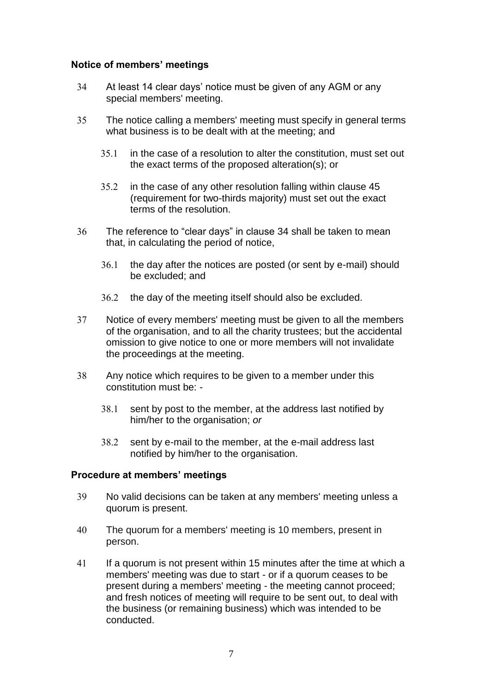# **Notice of members' meetings**

- <span id="page-6-0"></span> At least 14 clear days' notice must be given of any AGM or any special members' meeting.
- The notice calling a members' meeting must specify in general terms what business is to be dealt with at the meeting; and
	- 35.1 in the case of a resolution to alter the constitution, must set out the exact terms of the proposed alteration(s); or
	- 35.2 in the case of any other resolution falling within clause 45 (requirement for two-thirds majority) must set out the exact terms of the resolution.
- The reference to "clear days" in clause [34](#page-6-0) shall be taken to mean that, in calculating the period of notice,
	- 36.1 the day after the notices are posted (or sent by e-mail) should be excluded; and
	- 36.2 the day of the meeting itself should also be excluded.
- Notice of every members' meeting must be given to all the members of the organisation, and to all the charity trustees; but the accidental omission to give notice to one or more members will not invalidate the proceedings at the meeting.
- Any notice which requires to be given to a member under this constitution must be: -
	- 38.1 sent by post to the member, at the address last notified by him/her to the organisation; *or*
	- 38.2 sent by e-mail to the member, at the e-mail address last notified by him/her to the organisation.

# **Procedure at members' meetings**

- No valid decisions can be taken at any members' meeting unless a quorum is present.
- The quorum for a members' meeting is 10 members, present in person.
- If a quorum is not present within 15 minutes after the time at which a members' meeting was due to start - or if a quorum ceases to be present during a members' meeting - the meeting cannot proceed; and fresh notices of meeting will require to be sent out, to deal with the business (or remaining business) which was intended to be conducted.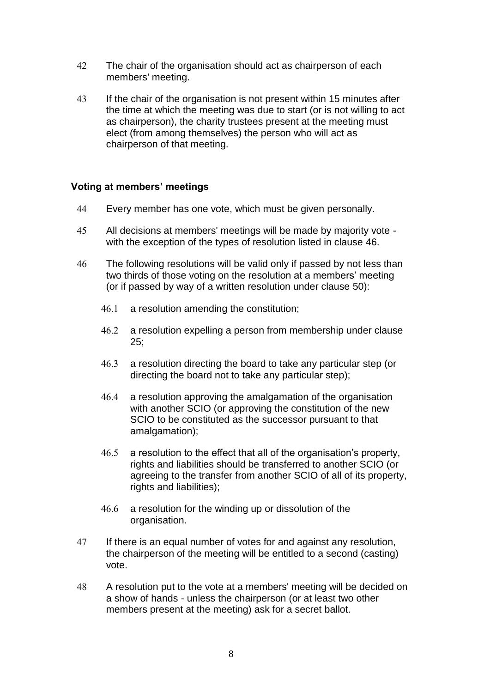- 42 The chair of the organisation should act as chairperson of each members' meeting.
- If the chair of the organisation is not present within 15 minutes after the time at which the meeting was due to start (or is not willing to act as chairperson), the charity trustees present at the meeting must elect (from among themselves) the person who will act as chairperson of that meeting.

### **Voting at members' meetings**

- Every member has one vote, which must be given personally.
- All decisions at members' meetings will be made by majority vote with the exception of the types of resolution listed in clause [46.](#page-7-0)
- <span id="page-7-0"></span> The following resolutions will be valid only if passed by not less than two thirds of those voting on the resolution at a members' meeting (or if passed by way of a written resolution under clause [50\)](#page-8-2):
	- 46.1 a resolution amending the constitution;
	- 46.2 a resolution expelling a person from membership under clause  $25:$
	- a resolution directing the board to take any particular step (or directing the board not to take any particular step);
	- a resolution approving the amalgamation of the organisation with another SCIO (or approving the constitution of the new SCIO to be constituted as the successor pursuant to that amalgamation);
	- 46.5 a resolution to the effect that all of the organisation's property, rights and liabilities should be transferred to another SCIO (or agreeing to the transfer from another SCIO of all of its property, rights and liabilities);
	- 46.6 a resolution for the winding up or dissolution of the organisation.
- If there is an equal number of votes for and against any resolution, the chairperson of the meeting will be entitled to a second (casting) vote.
- A resolution put to the vote at a members' meeting will be decided on a show of hands - unless the chairperson (or at least two other members present at the meeting) ask for a secret ballot.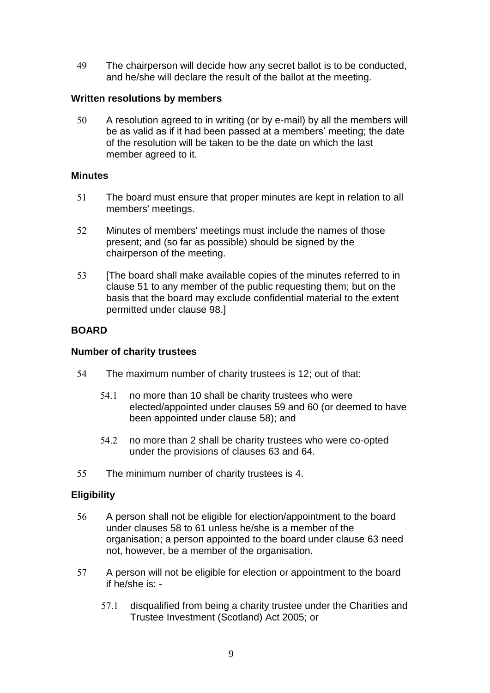The chairperson will decide how any secret ballot is to be conducted, and he/she will declare the result of the ballot at the meeting.

# **Written resolutions by members**

<span id="page-8-2"></span> A resolution agreed to in writing (or by e-mail) by all the members will be as valid as if it had been passed at a members' meeting; the date of the resolution will be taken to be the date on which the last member agreed to it.

### **Minutes**

- <span id="page-8-3"></span> The board must ensure that proper minutes are kept in relation to all members' meetings.
- Minutes of members' meetings must include the names of those present; and (so far as possible) should be signed by the chairperson of the meeting.
- <span id="page-8-0"></span>53 [The board shall make available copies of the minutes referred to in clause [51](#page-8-3) to any member of the public requesting them; but on the basis that the board may exclude confidential material to the extent permitted under clause [98.](#page-15-0)]

# **BOARD**

### **Number of charity trustees**

- <span id="page-8-1"></span> The maximum number of charity trustees is 12; out of that:
	- 54.1 no more than 10 shall be charity trustees who were elected/appointed under clauses [59](#page-9-0) and [60](#page-9-2) (or deemed to have been appointed under clause [58\)](#page-9-3); and
	- 54.2 no more than 2 shall be charity trustees who were co-opted under the provisions of clauses [63](#page-9-4) and [64.](#page-9-5)
- The minimum number of charity trustees is 4.

# **Eligibility**

- A person shall not be eligible for election/appointment to the board under clauses 58 to 61 unless he/she is a member of the organisation; a person appointed to the board under clause [63](#page-9-4) need not, however, be a member of the organisation.
- <span id="page-8-4"></span>57 A person will not be eligible for election or appointment to the board if he/she is: -
	- 57.1 disqualified from being a charity trustee under the Charities and Trustee Investment (Scotland) Act 2005; or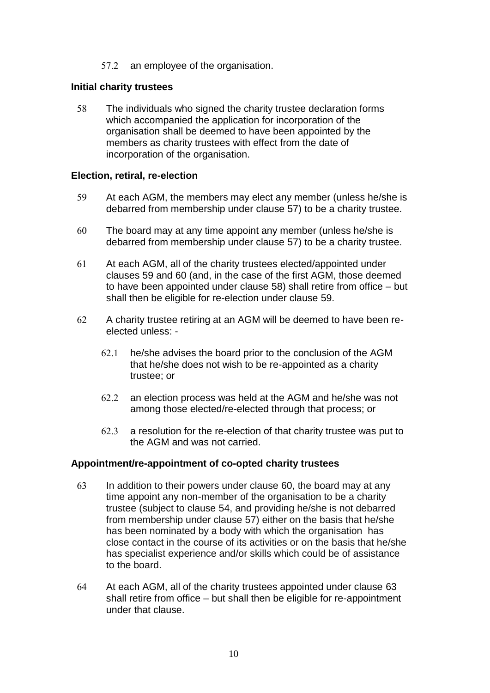57.2 an employee of the organisation.

### **Initial charity trustees**

<span id="page-9-3"></span> The individuals who signed the charity trustee declaration forms which accompanied the application for incorporation of the organisation shall be deemed to have been appointed by the members as charity trustees with effect from the date of incorporation of the organisation.

### **Election, retiral, re-election**

- <span id="page-9-0"></span>59 At each AGM, the members may elect any member (unless he/she is debarred from membership under clause [57\)](#page-8-4) to be a charity trustee.
- <span id="page-9-2"></span> The board may at any time appoint any member (unless he/she is debarred from membership under clause [57\)](#page-8-4) to be a charity trustee.
- At each AGM, all of the charity trustees elected/appointed under clauses [59](#page-9-0) and [60](#page-9-2) (and, in the case of the first AGM, those deemed to have been appointed under clause [58\)](#page-9-3) shall retire from office – but shall then be eligible for re-election under clause [59.](#page-9-0)
- <span id="page-9-1"></span> A charity trustee retiring at an AGM will be deemed to have been reelected unless:
	- he/she advises the board prior to the conclusion of the AGM that he/she does not wish to be re-appointed as a charity trustee; or
	- 62.2 an election process was held at the AGM and he/she was not among those elected/re-elected through that process; or
	- 62.3 a resolution for the re-election of that charity trustee was put to the AGM and was not carried.

### **Appointment/re-appointment of co-opted charity trustees**

- <span id="page-9-4"></span>63 In addition to their powers under clause [60,](#page-9-2) the board may at any time appoint any non-member of the organisation to be a charity trustee (subject to clause [54,](#page-8-1) and providing he/she is not debarred from membership under clause [57\)](#page-8-4) either on the basis that he/she has been nominated by a body with which the organisation has close contact in the course of its activities or on the basis that he/she has specialist experience and/or skills which could be of assistance to the board.
- <span id="page-9-5"></span> At each AGM, all of the charity trustees appointed under clause [63](#page-9-4) shall retire from office – but shall then be eligible for re-appointment under that clause.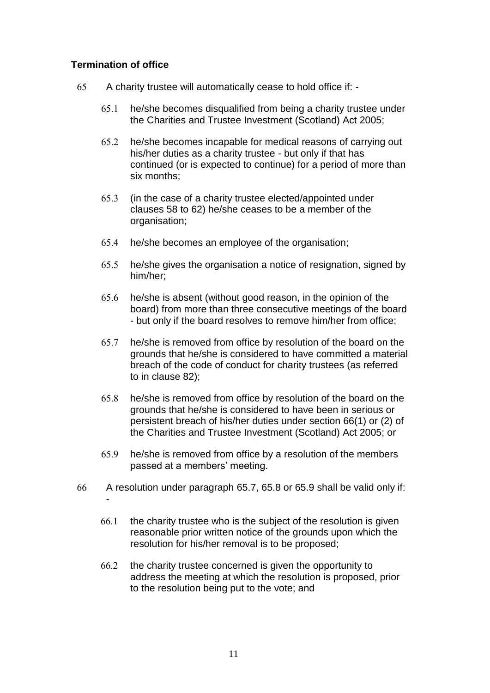# **Termination of office**

-

- A charity trustee will automatically cease to hold office if:
	- he/she becomes disqualified from being a charity trustee under the Charities and Trustee Investment (Scotland) Act 2005;
	- he/she becomes incapable for medical reasons of carrying out his/her duties as a charity trustee - but only if that has continued (or is expected to continue) for a period of more than six months;
	- (in the case of a charity trustee elected/appointed under clauses 58 to [62\)](#page-9-1) he/she ceases to be a member of the organisation;
	- 65.4 he/she becomes an employee of the organisation;
	- he/she gives the organisation a notice of resignation, signed by him/her;
	- 65.6 he/she is absent (without good reason, in the opinion of the board) from more than three consecutive meetings of the board - but only if the board resolves to remove him/her from office;
	- he/she is removed from office by resolution of the board on the grounds that he/she is considered to have committed a material breach of the code of conduct for charity trustees (as referred to in clause [82\)](#page-13-0);
	- he/she is removed from office by resolution of the board on the grounds that he/she is considered to have been in serious or persistent breach of his/her duties under section 66(1) or (2) of the Charities and Trustee Investment (Scotland) Act 2005; or
	- he/she is removed from office by a resolution of the members passed at a members' meeting.
- <span id="page-10-2"></span><span id="page-10-1"></span><span id="page-10-0"></span> A resolution under paragraph [65.7,](#page-10-0) [65.8](#page-10-1) or [65.9](#page-10-2) shall be valid only if:
	- $66.1$  the charity trustee who is the subject of the resolution is given reasonable prior written notice of the grounds upon which the resolution for his/her removal is to be proposed;
	- $66.2$  the charity trustee concerned is given the opportunity to address the meeting at which the resolution is proposed, prior to the resolution being put to the vote; and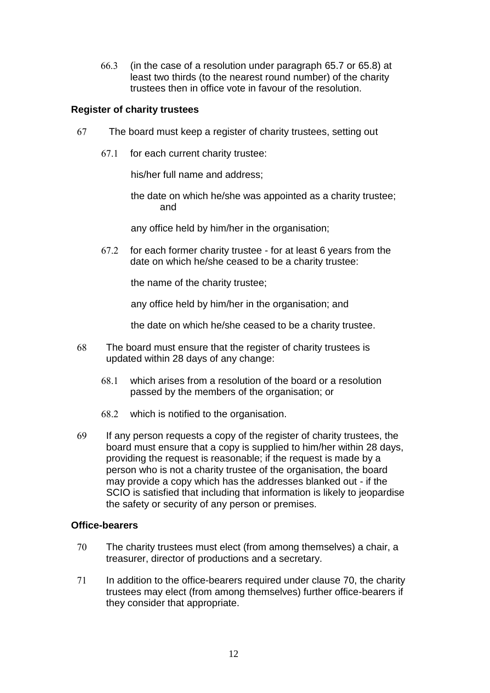(in the case of a resolution under paragraph [65.7](#page-10-0) or [65.8\)](#page-10-1) at least two thirds (to the nearest round number) of the charity trustees then in office vote in favour of the resolution.

# **Register of charity trustees**

- The board must keep a register of charity trustees, setting out
	- $67.1$  for each current charity trustee:

his/her full name and address;

the date on which he/she was appointed as a charity trustee; and

any office held by him/her in the organisation;

 for each former charity trustee - for at least 6 years from the date on which he/she ceased to be a charity trustee:

the name of the charity trustee;

any office held by him/her in the organisation; and

the date on which he/she ceased to be a charity trustee.

- The board must ensure that the register of charity trustees is updated within 28 days of any change:
	- which arises from a resolution of the board or a resolution passed by the members of the organisation; or
	- which is notified to the organisation.
- If any person requests a copy of the register of charity trustees, the board must ensure that a copy is supplied to him/her within 28 days, providing the request is reasonable; if the request is made by a person who is not a charity trustee of the organisation, the board may provide a copy which has the addresses blanked out - if the SCIO is satisfied that including that information is likely to jeopardise the safety or security of any person or premises.

### **Office-bearers**

- <span id="page-11-0"></span> The charity trustees must elect (from among themselves) a chair, a treasurer, director of productions and a secretary.
- <span id="page-11-1"></span> In addition to the office-bearers required under clause [70,](#page-11-0) the charity trustees may elect (from among themselves) further office-bearers if they consider that appropriate.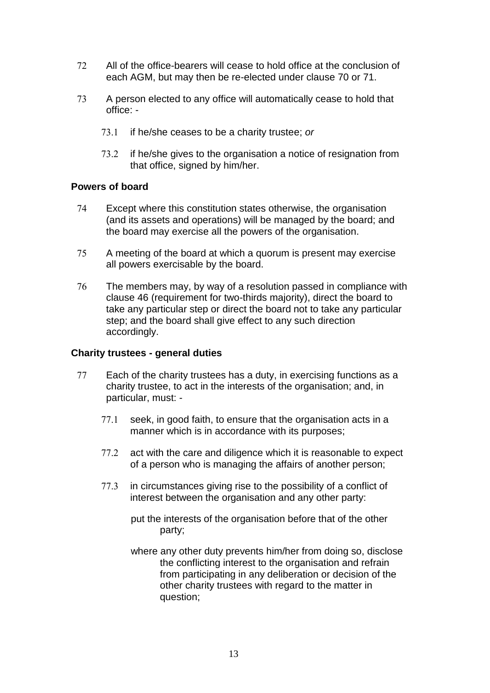- All of the office-bearers will cease to hold office at the conclusion of each AGM, but may then be re-elected under clause [70](#page-11-0) or [71.](#page-11-1)
- A person elected to any office will automatically cease to hold that office:
	- if he/she ceases to be a charity trustee; *or*
	- 73.2 if he/she gives to the organisation a notice of resignation from that office, signed by him/her.

# **Powers of board**

- Except where this constitution states otherwise, the organisation (and its assets and operations) will be managed by the board; and the board may exercise all the powers of the organisation.
- A meeting of the board at which a quorum is present may exercise all powers exercisable by the board.
- The members may, by way of a resolution passed in compliance with clause [46](#page-7-0) (requirement for two-thirds majority), direct the board to take any particular step or direct the board not to take any particular step; and the board shall give effect to any such direction accordingly.

# **Charity trustees - general duties**

- <span id="page-12-0"></span>77 Each of the charity trustees has a duty, in exercising functions as a charity trustee, to act in the interests of the organisation; and, in particular, must: -
	- 77.1 seek, in good faith, to ensure that the organisation acts in a manner which is in accordance with its purposes;
	- 77.2 act with the care and diligence which it is reasonable to expect of a person who is managing the affairs of another person;
	- 77.3 in circumstances giving rise to the possibility of a conflict of interest between the organisation and any other party:
		- put the interests of the organisation before that of the other party;
		- where any other duty prevents him/her from doing so, disclose the conflicting interest to the organisation and refrain from participating in any deliberation or decision of the other charity trustees with regard to the matter in question;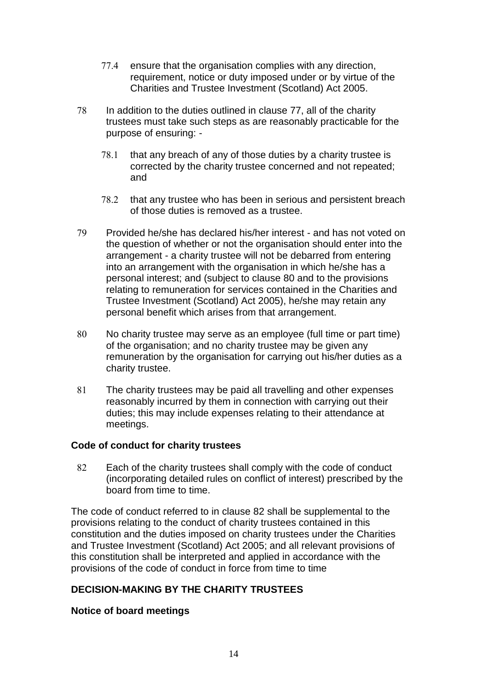- 77.4 ensure that the organisation complies with any direction, requirement, notice or duty imposed under or by virtue of the Charities and Trustee Investment (Scotland) Act 2005.
- In addition to the duties outlined in clause [77,](#page-12-0) all of the charity trustees must take such steps as are reasonably practicable for the purpose of ensuring: -
	- $78.1$  that any breach of any of those duties by a charity trustee is corrected by the charity trustee concerned and not repeated; and
	- 78.2 that any trustee who has been in serious and persistent breach of those duties is removed as a trustee.
- Provided he/she has declared his/her interest and has not voted on the question of whether or not the organisation should enter into the arrangement - a charity trustee will not be debarred from entering into an arrangement with the organisation in which he/she has a personal interest; and (subject to clause [80](#page-13-1) and to the provisions relating to remuneration for services contained in the Charities and Trustee Investment (Scotland) Act 2005), he/she may retain any personal benefit which arises from that arrangement.
- <span id="page-13-1"></span> No charity trustee may serve as an employee (full time or part time) of the organisation; and no charity trustee may be given any remuneration by the organisation for carrying out his/her duties as a charity trustee.
- The charity trustees may be paid all travelling and other expenses reasonably incurred by them in connection with carrying out their duties; this may include expenses relating to their attendance at meetings.

# **Code of conduct for charity trustees**

<span id="page-13-0"></span>82 Each of the charity trustees shall comply with the code of conduct (incorporating detailed rules on conflict of interest) prescribed by the board from time to time.

The code of conduct referred to in clause [82](#page-13-0) shall be supplemental to the provisions relating to the conduct of charity trustees contained in this constitution and the duties imposed on charity trustees under the Charities and Trustee Investment (Scotland) Act 2005; and all relevant provisions of this constitution shall be interpreted and applied in accordance with the provisions of the code of conduct in force from time to time

# **DECISION-MAKING BY THE CHARITY TRUSTEES**

### **Notice of board meetings**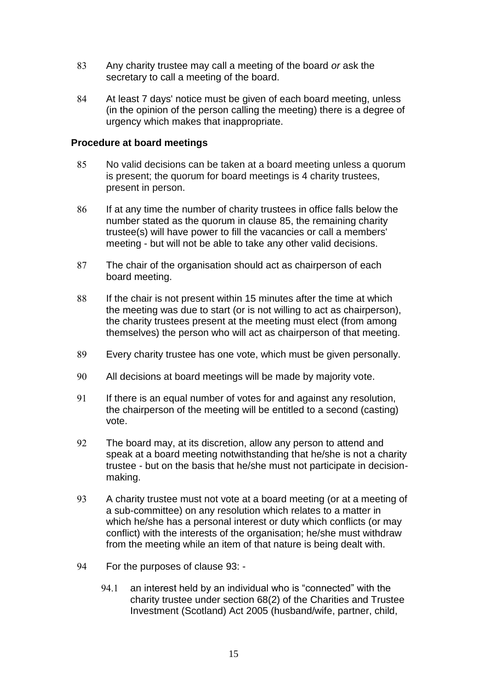- <span id="page-14-0"></span> Any charity trustee may call a meeting of the board *or* ask the secretary to call a meeting of the board.
- At least 7 days' notice must be given of each board meeting, unless (in the opinion of the person calling the meeting) there is a degree of urgency which makes that inappropriate.

### **Procedure at board meetings**

- <span id="page-14-1"></span> No valid decisions can be taken at a board meeting unless a quorum is present; the quorum for board meetings is 4 charity trustees, present in person.
- 86 If at any time the number of charity trustees in office falls below the number stated as the quorum in clause [85,](#page-14-1) the remaining charity trustee(s) will have power to fill the vacancies or call a members' meeting - but will not be able to take any other valid decisions.
- The chair of the organisation should act as chairperson of each board meeting.
- 88 If the chair is not present within 15 minutes after the time at which the meeting was due to start (or is not willing to act as chairperson), the charity trustees present at the meeting must elect (from among themselves) the person who will act as chairperson of that meeting.
- Every charity trustee has one vote, which must be given personally.
- All decisions at board meetings will be made by majority vote.
- 91 If there is an equal number of votes for and against any resolution, the chairperson of the meeting will be entitled to a second (casting) vote.
- 92 The board may, at its discretion, allow any person to attend and speak at a board meeting notwithstanding that he/she is not a charity trustee - but on the basis that he/she must not participate in decisionmaking.
- <span id="page-14-2"></span> A charity trustee must not vote at a board meeting (or at a meeting of a sub-committee) on any resolution which relates to a matter in which he/she has a personal interest or duty which conflicts (or may conflict) with the interests of the organisation; he/she must withdraw from the meeting while an item of that nature is being dealt with.
- For the purposes of clause [93:](#page-14-2)
	- 94.1 an interest held by an individual who is "connected" with the charity trustee under section 68(2) of the Charities and Trustee Investment (Scotland) Act 2005 (husband/wife, partner, child,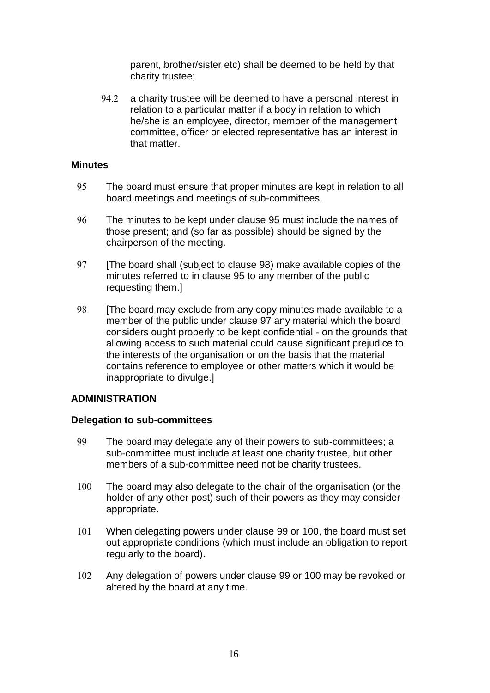parent, brother/sister etc) shall be deemed to be held by that charity trustee;

94.2 a charity trustee will be deemed to have a personal interest in relation to a particular matter if a body in relation to which he/she is an employee, director, member of the management committee, officer or elected representative has an interest in that matter

### **Minutes**

- <span id="page-15-2"></span> The board must ensure that proper minutes are kept in relation to all board meetings and meetings of sub-committees.
- The minutes to be kept under clause [95](#page-15-2) must include the names of those present; and (so far as possible) should be signed by the chairperson of the meeting.
- <span id="page-15-3"></span>97 [The board shall (subject to clause [98\)](#page-15-0) make available copies of the minutes referred to in clause [95](#page-15-2) to any member of the public requesting them.]
- <span id="page-15-0"></span>98 [The board may exclude from any copy minutes made available to a member of the public under clause [97](#page-15-3) any material which the board considers ought properly to be kept confidential - on the grounds that allowing access to such material could cause significant prejudice to the interests of the organisation or on the basis that the material contains reference to employee or other matters which it would be inappropriate to divulge.]

# **ADMINISTRATION**

### **Delegation to sub-committees**

- <span id="page-15-1"></span> The board may delegate any of their powers to sub-committees; a sub-committee must include at least one charity trustee, but other members of a sub-committee need not be charity trustees.
- <span id="page-15-4"></span> The board may also delegate to the chair of the organisation (or the holder of any other post) such of their powers as they may consider appropriate.
- When delegating powers under clause [99](#page-15-1) or [100,](#page-15-4) the board must set out appropriate conditions (which must include an obligation to report regularly to the board).
- Any delegation of powers under clause [99](#page-15-1) or [100](#page-15-4) may be revoked or altered by the board at any time.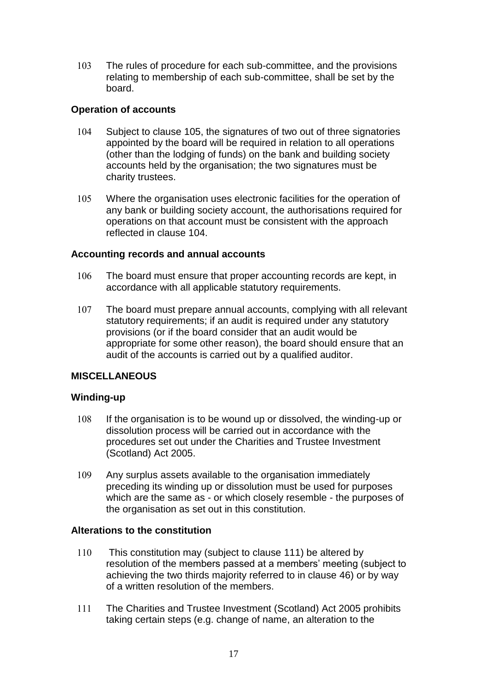The rules of procedure for each sub-committee, and the provisions relating to membership of each sub-committee, shall be set by the board.

# **Operation of accounts**

- <span id="page-16-3"></span> Subject to clause [105,](#page-16-2) the signatures of two out of three signatories appointed by the board will be required in relation to all operations (other than the lodging of funds) on the bank and building society accounts held by the organisation; the two signatures must be charity trustees.
- <span id="page-16-2"></span> Where the organisation uses electronic facilities for the operation of any bank or building society account, the authorisations required for operations on that account must be consistent with the approach reflected in clause [104.](#page-16-3)

# **Accounting records and annual accounts**

- The board must ensure that proper accounting records are kept, in accordance with all applicable statutory requirements.
- <span id="page-16-0"></span>107 The board must prepare annual accounts, complying with all relevant statutory requirements; if an audit is required under any statutory provisions (or if the board consider that an audit would be appropriate for some other reason), the board should ensure that an audit of the accounts is carried out by a qualified auditor.

# **MISCELLANEOUS**

# **Winding-up**

- <span id="page-16-1"></span> If the organisation is to be wound up or dissolved, the winding-up or dissolution process will be carried out in accordance with the procedures set out under the Charities and Trustee Investment (Scotland) Act 2005.
- Any surplus assets available to the organisation immediately preceding its winding up or dissolution must be used for purposes which are the same as - or which closely resemble - the purposes of the organisation as set out in this constitution.

# **Alterations to the constitution**

- 110 This constitution may (subject to clause [111\)](#page-16-4) be altered by resolution of the members passed at a members' meeting (subject to achieving the two thirds majority referred to in clause [46\)](#page-7-0) or by way of a written resolution of the members.
- <span id="page-16-4"></span> The Charities and Trustee Investment (Scotland) Act 2005 prohibits taking certain steps (e.g. change of name, an alteration to the